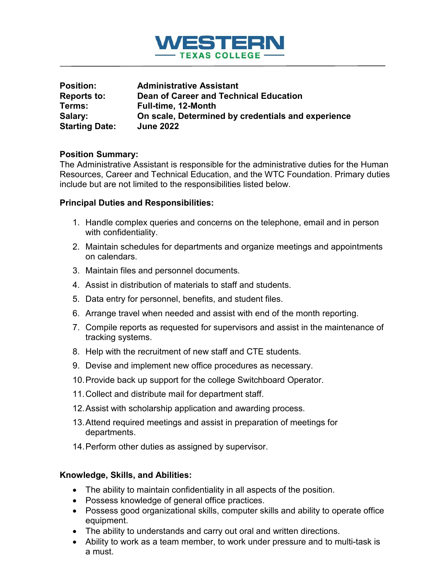

| <b>Position:</b>      | <b>Administrative Assistant</b>                    |
|-----------------------|----------------------------------------------------|
| Reports to:           | Dean of Career and Technical Education             |
| Terms:                | Full-time, 12-Month                                |
| Salary:               | On scale, Determined by credentials and experience |
| <b>Starting Date:</b> | <b>June 2022</b>                                   |

### **Position Summary:**

The Administrative Assistant is responsible for the administrative duties for the Human Resources, Career and Technical Education, and the WTC Foundation. Primary duties include but are not limited to the responsibilities listed below.

#### **Principal Duties and Responsibilities:**

- 1. Handle complex queries and concerns on the telephone, email and in person with confidentiality.
- 2. Maintain schedules for departments and organize meetings and appointments on calendars.
- 3. Maintain files and personnel documents.
- 4. Assist in distribution of materials to staff and students.
- 5. Data entry for personnel, benefits, and student files.
- 6. Arrange travel when needed and assist with end of the month reporting.
- 7. Compile reports as requested for supervisors and assist in the maintenance of tracking systems.
- 8. Help with the recruitment of new staff and CTE students.
- 9. Devise and implement new office procedures as necessary.
- 10.Provide back up support for the college Switchboard Operator.
- 11.Collect and distribute mail for department staff.
- 12.Assist with scholarship application and awarding process.
- 13.Attend required meetings and assist in preparation of meetings for departments.
- 14.Perform other duties as assigned by supervisor.

## **Knowledge, Skills, and Abilities:**

- The ability to maintain confidentiality in all aspects of the position.
- Possess knowledge of general office practices.
- Possess good organizational skills, computer skills and ability to operate office equipment.
- The ability to understands and carry out oral and written directions.
- Ability to work as a team member, to work under pressure and to multi-task is a must.